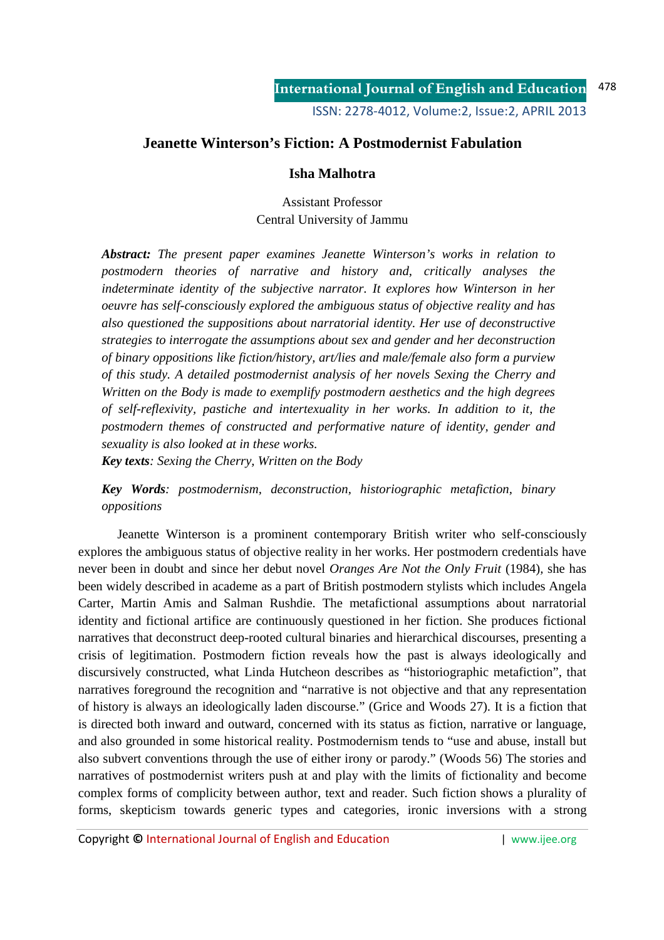# **Jeanette Winterson's Fiction: A Postmodernist Fabulation**

## **Isha Malhotra**

Assistant Professor Central University of Jammu

*Abstract: The present paper examines Jeanette Winterson's works in relation to postmodern theories of narrative and history and, critically analyses the indeterminate identity of the subjective narrator. It explores how Winterson in her oeuvre has self-consciously explored the ambiguous status of objective reality and has also questioned the suppositions about narratorial identity. Her use of deconstructive strategies to interrogate the assumptions about sex and gender and her deconstruction of binary oppositions like fiction/history, art/lies and male/female also form a purview of this study. A detailed postmodernist analysis of her novels Sexing the Cherry and Written on the Body is made to exemplify postmodern aesthetics and the high degrees of self-reflexivity, pastiche and intertexuality in her works. In addition to it, the postmodern themes of constructed and performative nature of identity, gender and sexuality is also looked at in these works.* 

*Key texts: Sexing the Cherry, Written on the Body* 

*Key Words: postmodernism, deconstruction, historiographic metafiction, binary oppositions* 

Jeanette Winterson is a prominent contemporary British writer who self-consciously explores the ambiguous status of objective reality in her works. Her postmodern credentials have never been in doubt and since her debut novel *Oranges Are Not the Only Fruit* (1984)*,* she has been widely described in academe as a part of British postmodern stylists which includes Angela Carter, Martin Amis and Salman Rushdie. The metafictional assumptions about narratorial identity and fictional artifice are continuously questioned in her fiction. She produces fictional narratives that deconstruct deep-rooted cultural binaries and hierarchical discourses, presenting a crisis of legitimation. Postmodern fiction reveals how the past is always ideologically and discursively constructed, what Linda Hutcheon describes as "historiographic metafiction", that narratives foreground the recognition and "narrative is not objective and that any representation of history is always an ideologically laden discourse." (Grice and Woods 27). It is a fiction that is directed both inward and outward, concerned with its status as fiction, narrative or language, and also grounded in some historical reality. Postmodernism tends to "use and abuse, install but also subvert conventions through the use of either irony or parody." (Woods 56) The stories and narratives of postmodernist writers push at and play with the limits of fictionality and become complex forms of complicity between author, text and reader. Such fiction shows a plurality of forms, skepticism towards generic types and categories, ironic inversions with a strong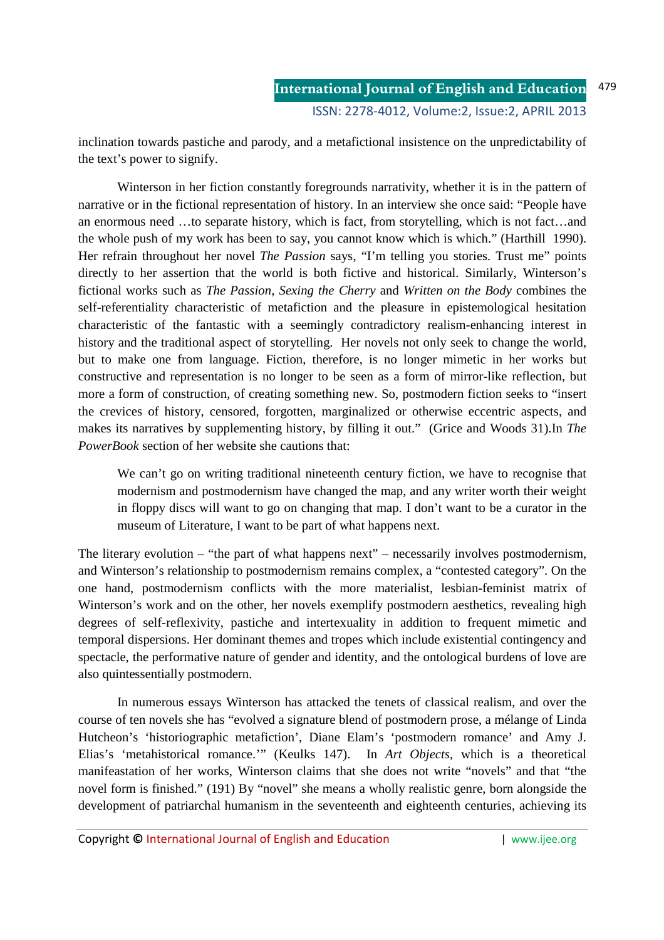inclination towards pastiche and parody, and a metafictional insistence on the unpredictability of the text's power to signify.

Winterson in her fiction constantly foregrounds narrativity, whether it is in the pattern of narrative or in the fictional representation of history. In an interview she once said: "People have an enormous need …to separate history, which is fact, from storytelling, which is not fact…and the whole push of my work has been to say, you cannot know which is which." (Harthill 1990). Her refrain throughout her novel *The Passion* says, "I'm telling you stories. Trust me" points directly to her assertion that the world is both fictive and historical. Similarly, Winterson's fictional works such as *The Passion*, *Sexing the Cherry* and *Written on the Body* combines the self-referentiality characteristic of metafiction and the pleasure in epistemological hesitation characteristic of the fantastic with a seemingly contradictory realism-enhancing interest in history and the traditional aspect of storytelling. Her novels not only seek to change the world, but to make one from language. Fiction, therefore, is no longer mimetic in her works but constructive and representation is no longer to be seen as a form of mirror-like reflection, but more a form of construction, of creating something new. So, postmodern fiction seeks to "insert the crevices of history, censored, forgotten, marginalized or otherwise eccentric aspects, and makes its narratives by supplementing history, by filling it out." (Grice and Woods 31).In *The PowerBook* section of her website she cautions that:

We can't go on writing traditional nineteenth century fiction, we have to recognise that modernism and postmodernism have changed the map, and any writer worth their weight in floppy discs will want to go on changing that map. I don't want to be a curator in the museum of Literature, I want to be part of what happens next.

The literary evolution – "the part of what happens next" – necessarily involves postmodernism, and Winterson's relationship to postmodernism remains complex, a "contested category". On the one hand, postmodernism conflicts with the more materialist, lesbian-feminist matrix of Winterson's work and on the other, her novels exemplify postmodern aesthetics, revealing high degrees of self-reflexivity, pastiche and intertexuality in addition to frequent mimetic and temporal dispersions. Her dominant themes and tropes which include existential contingency and spectacle, the performative nature of gender and identity, and the ontological burdens of love are also quintessentially postmodern.

In numerous essays Winterson has attacked the tenets of classical realism, and over the course of ten novels she has "evolved a signature blend of postmodern prose, a mélange of Linda Hutcheon's 'historiographic metafiction', Diane Elam's 'postmodern romance' and Amy J. Elias's 'metahistorical romance.'" (Keulks 147). In *Art Objects*, which is a theoretical manifeastation of her works, Winterson claims that she does not write "novels" and that "the novel form is finished." (191) By "novel" she means a wholly realistic genre, born alongside the development of patriarchal humanism in the seventeenth and eighteenth centuries, achieving its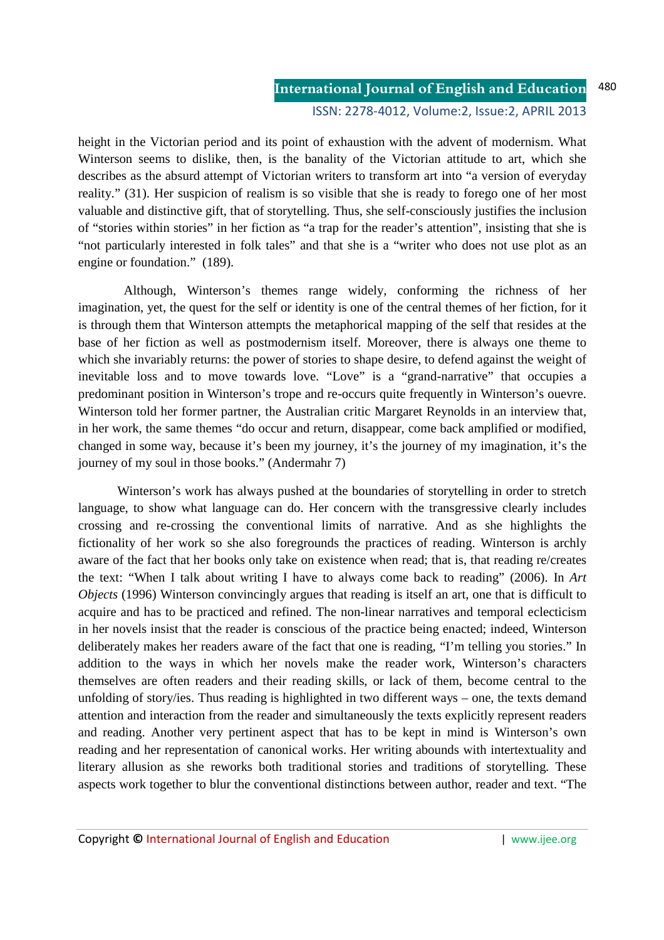height in the Victorian period and its point of exhaustion with the advent of modernism. What Winterson seems to dislike, then, is the banality of the Victorian attitude to art, which she describes as the absurd attempt of Victorian writers to transform art into "a version of everyday reality." (31). Her suspicion of realism is so visible that she is ready to forego one of her most valuable and distinctive gift, that of storytelling. Thus, she self-consciously justifies the inclusion of "stories within stories" in her fiction as "a trap for the reader's attention", insisting that she is "not particularly interested in folk tales" and that she is a "writer who does not use plot as an engine or foundation." (189).

 Although, Winterson's themes range widely, conforming the richness of her imagination, yet, the quest for the self or identity is one of the central themes of her fiction, for it is through them that Winterson attempts the metaphorical mapping of the self that resides at the base of her fiction as well as postmodernism itself. Moreover, there is always one theme to which she invariably returns: the power of stories to shape desire, to defend against the weight of inevitable loss and to move towards love. "Love" is a "grand-narrative" that occupies a predominant position in Winterson's trope and re-occurs quite frequently in Winterson's ouevre. Winterson told her former partner, the Australian critic Margaret Reynolds in an interview that, in her work, the same themes "do occur and return, disappear, come back amplified or modified, changed in some way, because it's been my journey, it's the journey of my imagination, it's the journey of my soul in those books." (Andermahr 7)

Winterson's work has always pushed at the boundaries of storytelling in order to stretch language, to show what language can do. Her concern with the transgressive clearly includes crossing and re-crossing the conventional limits of narrative. And as she highlights the fictionality of her work so she also foregrounds the practices of reading. Winterson is archly aware of the fact that her books only take on existence when read; that is, that reading re/creates the text: "When I talk about writing I have to always come back to reading" (2006). In *Art Objects* (1996) Winterson convincingly argues that reading is itself an art, one that is difficult to acquire and has to be practiced and refined. The non-linear narratives and temporal eclecticism in her novels insist that the reader is conscious of the practice being enacted; indeed, Winterson deliberately makes her readers aware of the fact that one is reading, "I'm telling you stories." In addition to the ways in which her novels make the reader work, Winterson's characters themselves are often readers and their reading skills, or lack of them, become central to the unfolding of story/ies. Thus reading is highlighted in two different ways – one, the texts demand attention and interaction from the reader and simultaneously the texts explicitly represent readers and reading. Another very pertinent aspect that has to be kept in mind is Winterson's own reading and her representation of canonical works. Her writing abounds with intertextuality and literary allusion as she reworks both traditional stories and traditions of storytelling. These aspects work together to blur the conventional distinctions between author, reader and text. "The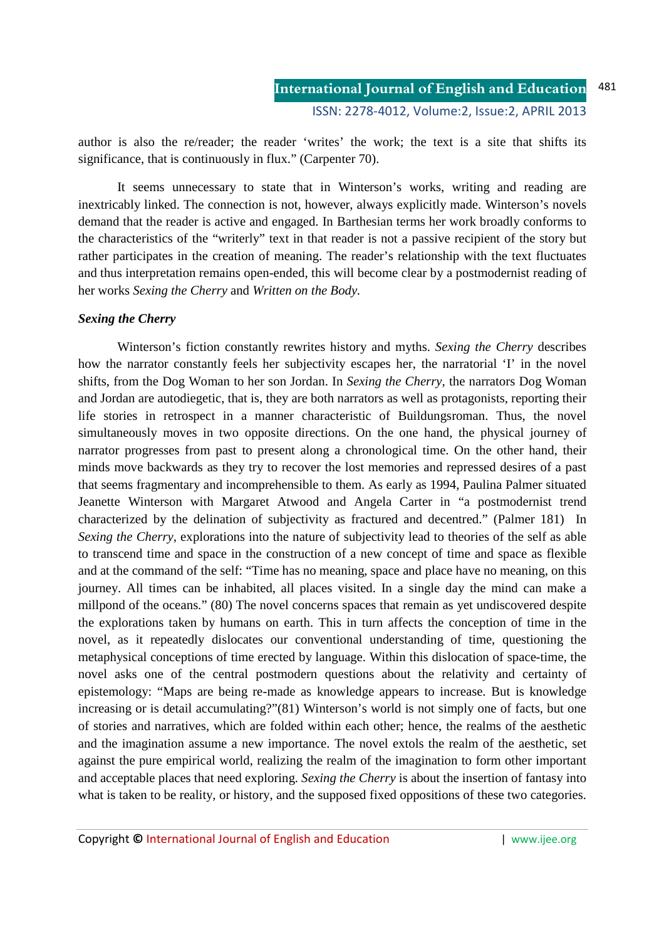author is also the re/reader; the reader 'writes' the work; the text is a site that shifts its significance, that is continuously in flux." (Carpenter 70).

It seems unnecessary to state that in Winterson's works, writing and reading are inextricably linked. The connection is not, however, always explicitly made. Winterson's novels demand that the reader is active and engaged. In Barthesian terms her work broadly conforms to the characteristics of the "writerly" text in that reader is not a passive recipient of the story but rather participates in the creation of meaning. The reader's relationship with the text fluctuates and thus interpretation remains open-ended, this will become clear by a postmodernist reading of her works *Sexing the Cherry* and *Written on the Body.*

#### *Sexing the Cherry*

Winterson's fiction constantly rewrites history and myths. *Sexing the Cherry* describes how the narrator constantly feels her subjectivity escapes her, the narratorial 'I' in the novel shifts, from the Dog Woman to her son Jordan. In *Sexing the Cherry,* the narrators Dog Woman and Jordan are autodiegetic, that is, they are both narrators as well as protagonists, reporting their life stories in retrospect in a manner characteristic of Buildungsroman. Thus, the novel simultaneously moves in two opposite directions. On the one hand, the physical journey of narrator progresses from past to present along a chronological time. On the other hand, their minds move backwards as they try to recover the lost memories and repressed desires of a past that seems fragmentary and incomprehensible to them. As early as 1994, Paulina Palmer situated Jeanette Winterson with Margaret Atwood and Angela Carter in "a postmodernist trend characterized by the delination of subjectivity as fractured and decentred." (Palmer 181) In *Sexing the Cherry*, explorations into the nature of subjectivity lead to theories of the self as able to transcend time and space in the construction of a new concept of time and space as flexible and at the command of the self: "Time has no meaning, space and place have no meaning, on this journey. All times can be inhabited, all places visited. In a single day the mind can make a millpond of the oceans." (80) The novel concerns spaces that remain as yet undiscovered despite the explorations taken by humans on earth. This in turn affects the conception of time in the novel, as it repeatedly dislocates our conventional understanding of time, questioning the metaphysical conceptions of time erected by language. Within this dislocation of space-time, the novel asks one of the central postmodern questions about the relativity and certainty of epistemology: "Maps are being re-made as knowledge appears to increase. But is knowledge increasing or is detail accumulating?"(81) Winterson's world is not simply one of facts, but one of stories and narratives, which are folded within each other; hence, the realms of the aesthetic and the imagination assume a new importance. The novel extols the realm of the aesthetic, set against the pure empirical world, realizing the realm of the imagination to form other important and acceptable places that need exploring. *Sexing the Cherry* is about the insertion of fantasy into what is taken to be reality, or history, and the supposed fixed oppositions of these two categories.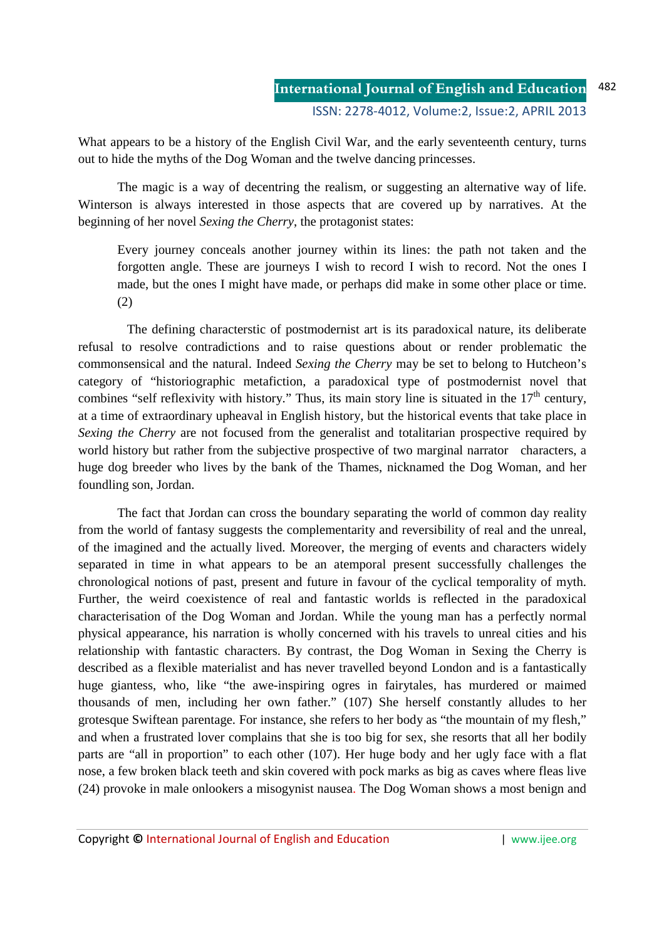What appears to be a history of the English Civil War, and the early seventeenth century, turns out to hide the myths of the Dog Woman and the twelve dancing princesses.

The magic is a way of decentring the realism, or suggesting an alternative way of life. Winterson is always interested in those aspects that are covered up by narratives. At the beginning of her novel *Sexing the Cherry*, the protagonist states:

Every journey conceals another journey within its lines: the path not taken and the forgotten angle. These are journeys I wish to record I wish to record. Not the ones I made, but the ones I might have made, or perhaps did make in some other place or time. (2)

 The defining characterstic of postmodernist art is its paradoxical nature, its deliberate refusal to resolve contradictions and to raise questions about or render problematic the commonsensical and the natural. Indeed *Sexing the Cherry* may be set to belong to Hutcheon's category of "historiographic metafiction, a paradoxical type of postmodernist novel that combines "self reflexivity with history." Thus, its main story line is situated in the  $17<sup>th</sup>$  century, at a time of extraordinary upheaval in English history, but the historical events that take place in *Sexing the Cherry* are not focused from the generalist and totalitarian prospective required by world history but rather from the subjective prospective of two marginal narrator characters, a huge dog breeder who lives by the bank of the Thames, nicknamed the Dog Woman, and her foundling son, Jordan.

 The fact that Jordan can cross the boundary separating the world of common day reality from the world of fantasy suggests the complementarity and reversibility of real and the unreal, of the imagined and the actually lived. Moreover, the merging of events and characters widely separated in time in what appears to be an atemporal present successfully challenges the chronological notions of past, present and future in favour of the cyclical temporality of myth. Further, the weird coexistence of real and fantastic worlds is reflected in the paradoxical characterisation of the Dog Woman and Jordan. While the young man has a perfectly normal physical appearance, his narration is wholly concerned with his travels to unreal cities and his relationship with fantastic characters. By contrast, the Dog Woman in Sexing the Cherry is described as a flexible materialist and has never travelled beyond London and is a fantastically huge giantess, who, like "the awe-inspiring ogres in fairytales, has murdered or maimed thousands of men, including her own father." (107) She herself constantly alludes to her grotesque Swiftean parentage. For instance, she refers to her body as "the mountain of my flesh," and when a frustrated lover complains that she is too big for sex, she resorts that all her bodily parts are "all in proportion" to each other (107). Her huge body and her ugly face with a flat nose, a few broken black teeth and skin covered with pock marks as big as caves where fleas live (24) provoke in male onlookers a misogynist nausea. The Dog Woman shows a most benign and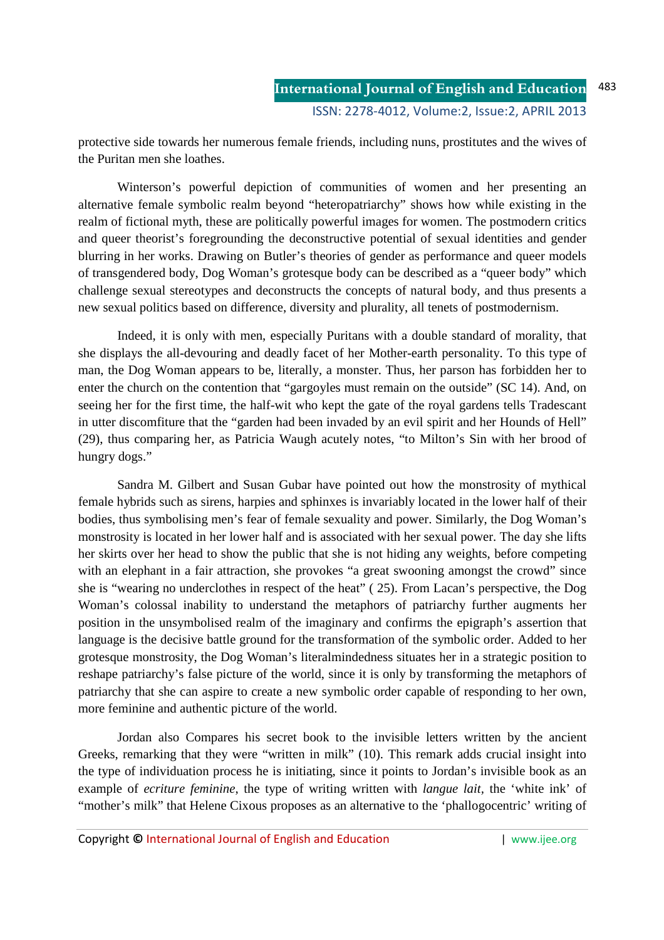protective side towards her numerous female friends, including nuns, prostitutes and the wives of the Puritan men she loathes.

Winterson's powerful depiction of communities of women and her presenting an alternative female symbolic realm beyond "heteropatriarchy" shows how while existing in the realm of fictional myth, these are politically powerful images for women. The postmodern critics and queer theorist's foregrounding the deconstructive potential of sexual identities and gender blurring in her works. Drawing on Butler's theories of gender as performance and queer models of transgendered body, Dog Woman's grotesque body can be described as a "queer body" which challenge sexual stereotypes and deconstructs the concepts of natural body, and thus presents a new sexual politics based on difference, diversity and plurality, all tenets of postmodernism.

Indeed, it is only with men, especially Puritans with a double standard of morality, that she displays the all-devouring and deadly facet of her Mother-earth personality. To this type of man, the Dog Woman appears to be, literally, a monster. Thus, her parson has forbidden her to enter the church on the contention that "gargoyles must remain on the outside" (SC 14). And, on seeing her for the first time, the half-wit who kept the gate of the royal gardens tells Tradescant in utter discomfiture that the "garden had been invaded by an evil spirit and her Hounds of Hell" (29), thus comparing her, as Patricia Waugh acutely notes, "to Milton's Sin with her brood of hungry dogs."

Sandra M. Gilbert and Susan Gubar have pointed out how the monstrosity of mythical female hybrids such as sirens, harpies and sphinxes is invariably located in the lower half of their bodies, thus symbolising men's fear of female sexuality and power. Similarly, the Dog Woman's monstrosity is located in her lower half and is associated with her sexual power. The day she lifts her skirts over her head to show the public that she is not hiding any weights, before competing with an elephant in a fair attraction, she provokes "a great swooning amongst the crowd" since she is "wearing no underclothes in respect of the heat" ( 25). From Lacan's perspective, the Dog Woman's colossal inability to understand the metaphors of patriarchy further augments her position in the unsymbolised realm of the imaginary and confirms the epigraph's assertion that language is the decisive battle ground for the transformation of the symbolic order. Added to her grotesque monstrosity, the Dog Woman's literalmindedness situates her in a strategic position to reshape patriarchy's false picture of the world, since it is only by transforming the metaphors of patriarchy that she can aspire to create a new symbolic order capable of responding to her own, more feminine and authentic picture of the world.

 Jordan also Compares his secret book to the invisible letters written by the ancient Greeks, remarking that they were "written in milk" (10). This remark adds crucial insight into the type of individuation process he is initiating, since it points to Jordan's invisible book as an example of *ecriture feminine*, the type of writing written with *langue lait,* the 'white ink' of "mother's milk" that Helene Cixous proposes as an alternative to the 'phallogocentric' writing of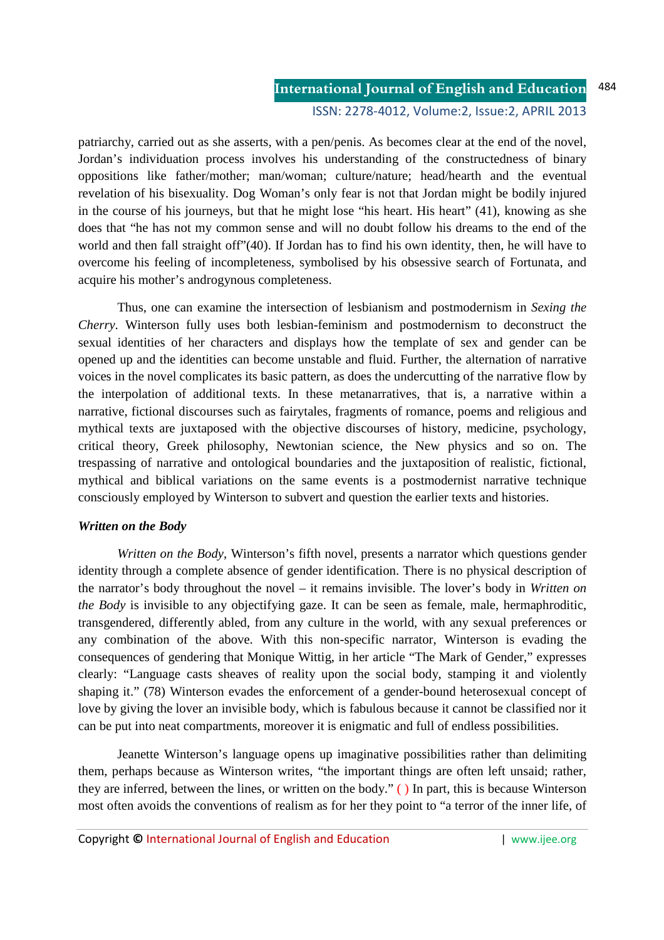patriarchy, carried out as she asserts, with a pen/penis. As becomes clear at the end of the novel, Jordan's individuation process involves his understanding of the constructedness of binary oppositions like father/mother; man/woman; culture/nature; head/hearth and the eventual revelation of his bisexuality. Dog Woman's only fear is not that Jordan might be bodily injured in the course of his journeys, but that he might lose "his heart. His heart" (41), knowing as she does that "he has not my common sense and will no doubt follow his dreams to the end of the world and then fall straight off"(40). If Jordan has to find his own identity, then, he will have to overcome his feeling of incompleteness, symbolised by his obsessive search of Fortunata, and acquire his mother's androgynous completeness.

Thus, one can examine the intersection of lesbianism and postmodernism in *Sexing the Cherry*. Winterson fully uses both lesbian-feminism and postmodernism to deconstruct the sexual identities of her characters and displays how the template of sex and gender can be opened up and the identities can become unstable and fluid. Further, the alternation of narrative voices in the novel complicates its basic pattern, as does the undercutting of the narrative flow by the interpolation of additional texts. In these metanarratives, that is, a narrative within a narrative, fictional discourses such as fairytales, fragments of romance, poems and religious and mythical texts are juxtaposed with the objective discourses of history, medicine, psychology, critical theory, Greek philosophy, Newtonian science, the New physics and so on. The trespassing of narrative and ontological boundaries and the juxtaposition of realistic, fictional, mythical and biblical variations on the same events is a postmodernist narrative technique consciously employed by Winterson to subvert and question the earlier texts and histories.

## *Written on the Body*

*Written on the Body*, Winterson's fifth novel, presents a narrator which questions gender identity through a complete absence of gender identification. There is no physical description of the narrator's body throughout the novel – it remains invisible. The lover's body in *Written on the Body* is invisible to any objectifying gaze. It can be seen as female, male, hermaphroditic, transgendered, differently abled, from any culture in the world, with any sexual preferences or any combination of the above. With this non-specific narrator, Winterson is evading the consequences of gendering that Monique Wittig, in her article "The Mark of Gender," expresses clearly: "Language casts sheaves of reality upon the social body, stamping it and violently shaping it." (78) Winterson evades the enforcement of a gender-bound heterosexual concept of love by giving the lover an invisible body, which is fabulous because it cannot be classified nor it can be put into neat compartments, moreover it is enigmatic and full of endless possibilities.

Jeanette Winterson's language opens up imaginative possibilities rather than delimiting them, perhaps because as Winterson writes, "the important things are often left unsaid; rather, they are inferred, between the lines, or written on the body." ( ) In part, this is because Winterson most often avoids the conventions of realism as for her they point to "a terror of the inner life, of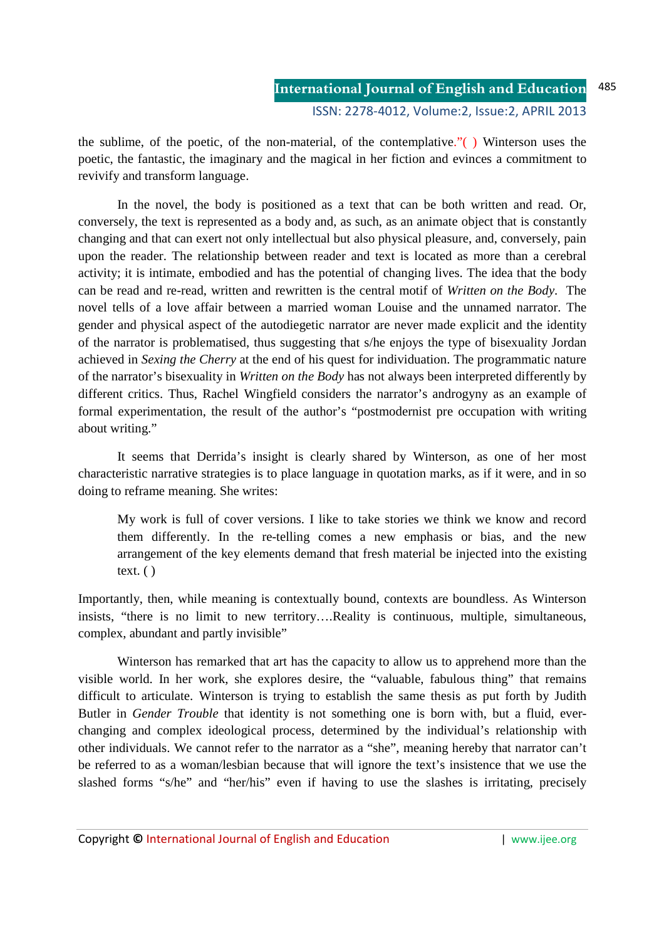the sublime, of the poetic, of the non-material, of the contemplative."( ) Winterson uses the poetic, the fantastic, the imaginary and the magical in her fiction and evinces a commitment to revivify and transform language.

In the novel, the body is positioned as a text that can be both written and read. Or, conversely, the text is represented as a body and, as such, as an animate object that is constantly changing and that can exert not only intellectual but also physical pleasure, and, conversely, pain upon the reader. The relationship between reader and text is located as more than a cerebral activity; it is intimate, embodied and has the potential of changing lives. The idea that the body can be read and re-read, written and rewritten is the central motif of *Written on the Body*. The novel tells of a love affair between a married woman Louise and the unnamed narrator. The gender and physical aspect of the autodiegetic narrator are never made explicit and the identity of the narrator is problematised, thus suggesting that s/he enjoys the type of bisexuality Jordan achieved in *Sexing the Cherry* at the end of his quest for individuation. The programmatic nature of the narrator's bisexuality in *Written on the Body* has not always been interpreted differently by different critics. Thus, Rachel Wingfield considers the narrator's androgyny as an example of formal experimentation, the result of the author's "postmodernist pre occupation with writing about writing."

It seems that Derrida's insight is clearly shared by Winterson, as one of her most characteristic narrative strategies is to place language in quotation marks, as if it were, and in so doing to reframe meaning. She writes:

My work is full of cover versions. I like to take stories we think we know and record them differently. In the re-telling comes a new emphasis or bias, and the new arrangement of the key elements demand that fresh material be injected into the existing text.  $( )$ 

Importantly, then, while meaning is contextually bound, contexts are boundless. As Winterson insists, "there is no limit to new territory….Reality is continuous, multiple, simultaneous, complex, abundant and partly invisible"

 Winterson has remarked that art has the capacity to allow us to apprehend more than the visible world. In her work, she explores desire, the "valuable, fabulous thing" that remains difficult to articulate. Winterson is trying to establish the same thesis as put forth by Judith Butler in *Gender Trouble* that identity is not something one is born with, but a fluid, everchanging and complex ideological process, determined by the individual's relationship with other individuals. We cannot refer to the narrator as a "she", meaning hereby that narrator can't be referred to as a woman/lesbian because that will ignore the text's insistence that we use the slashed forms "s/he" and "her/his" even if having to use the slashes is irritating, precisely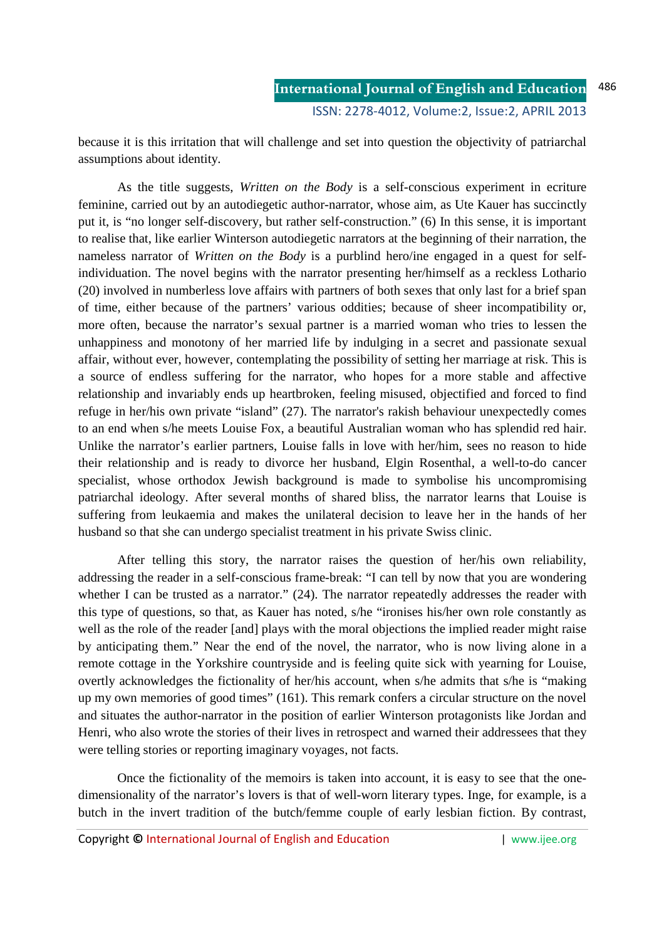because it is this irritation that will challenge and set into question the objectivity of patriarchal assumptions about identity.

As the title suggests, *Written on the Body* is a self-conscious experiment in ecriture feminine, carried out by an autodiegetic author-narrator, whose aim, as Ute Kauer has succinctly put it, is "no longer self-discovery, but rather self-construction." (6) In this sense, it is important to realise that, like earlier Winterson autodiegetic narrators at the beginning of their narration, the nameless narrator of *Written on the Body* is a purblind hero/ine engaged in a quest for selfindividuation. The novel begins with the narrator presenting her/himself as a reckless Lothario (20) involved in numberless love affairs with partners of both sexes that only last for a brief span of time, either because of the partners' various oddities; because of sheer incompatibility or, more often, because the narrator's sexual partner is a married woman who tries to lessen the unhappiness and monotony of her married life by indulging in a secret and passionate sexual affair, without ever, however, contemplating the possibility of setting her marriage at risk. This is a source of endless suffering for the narrator, who hopes for a more stable and affective relationship and invariably ends up heartbroken, feeling misused, objectified and forced to find refuge in her/his own private "island" (27). The narrator's rakish behaviour unexpectedly comes to an end when s/he meets Louise Fox, a beautiful Australian woman who has splendid red hair. Unlike the narrator's earlier partners, Louise falls in love with her/him, sees no reason to hide their relationship and is ready to divorce her husband, Elgin Rosenthal, a well-to-do cancer specialist, whose orthodox Jewish background is made to symbolise his uncompromising patriarchal ideology. After several months of shared bliss, the narrator learns that Louise is suffering from leukaemia and makes the unilateral decision to leave her in the hands of her husband so that she can undergo specialist treatment in his private Swiss clinic.

After telling this story, the narrator raises the question of her/his own reliability, addressing the reader in a self-conscious frame-break: "I can tell by now that you are wondering whether I can be trusted as a narrator." (24). The narrator repeatedly addresses the reader with this type of questions, so that, as Kauer has noted, s/he "ironises his/her own role constantly as well as the role of the reader [and] plays with the moral objections the implied reader might raise by anticipating them." Near the end of the novel, the narrator, who is now living alone in a remote cottage in the Yorkshire countryside and is feeling quite sick with yearning for Louise, overtly acknowledges the fictionality of her/his account, when s/he admits that s/he is "making up my own memories of good times" (161). This remark confers a circular structure on the novel and situates the author-narrator in the position of earlier Winterson protagonists like Jordan and Henri, who also wrote the stories of their lives in retrospect and warned their addressees that they were telling stories or reporting imaginary voyages, not facts.

Once the fictionality of the memoirs is taken into account, it is easy to see that the onedimensionality of the narrator's lovers is that of well-worn literary types. Inge, for example, is a butch in the invert tradition of the butch/femme couple of early lesbian fiction. By contrast,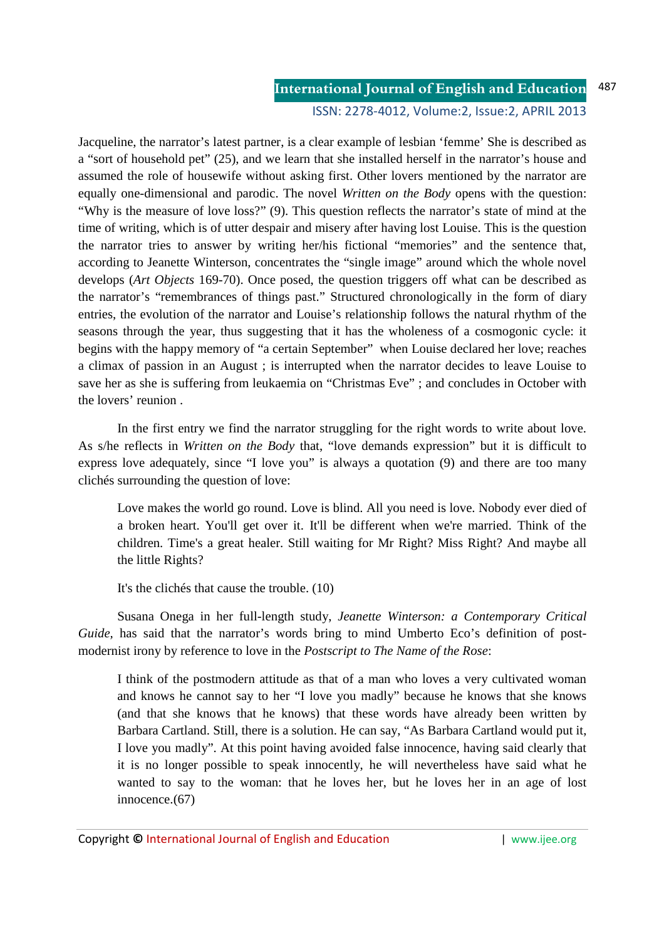Jacqueline, the narrator's latest partner, is a clear example of lesbian 'femme' She is described as a "sort of household pet" (25), and we learn that she installed herself in the narrator's house and assumed the role of housewife without asking first. Other lovers mentioned by the narrator are equally one-dimensional and parodic. The novel *Written on the Body* opens with the question: "Why is the measure of love loss?" (9). This question reflects the narrator's state of mind at the time of writing, which is of utter despair and misery after having lost Louise. This is the question the narrator tries to answer by writing her/his fictional "memories" and the sentence that, according to Jeanette Winterson, concentrates the "single image" around which the whole novel develops (*Art Objects* 169-70). Once posed, the question triggers off what can be described as the narrator's "remembrances of things past." Structured chronologically in the form of diary entries, the evolution of the narrator and Louise's relationship follows the natural rhythm of the seasons through the year, thus suggesting that it has the wholeness of a cosmogonic cycle: it begins with the happy memory of "a certain September" when Louise declared her love; reaches a climax of passion in an August ; is interrupted when the narrator decides to leave Louise to save her as she is suffering from leukaemia on "Christmas Eve" ; and concludes in October with the lovers' reunion .

In the first entry we find the narrator struggling for the right words to write about love. As s/he reflects in *Written on the Body* that, "love demands expression" but it is difficult to express love adequately, since "I love you" is always a quotation (9) and there are too many clichés surrounding the question of love:

Love makes the world go round. Love is blind. All you need is love. Nobody ever died of a broken heart. You'll get over it. It'll be different when we're married. Think of the children. Time's a great healer. Still waiting for Mr Right? Miss Right? And maybe all the little Rights?

It's the clichés that cause the trouble. (10)

Susana Onega in her full-length study, *Jeanette Winterson: a Contemporary Critical Guide,* has said that the narrator's words bring to mind Umberto Eco's definition of postmodernist irony by reference to love in the *Postscript to The Name of the Rose*:

I think of the postmodern attitude as that of a man who loves a very cultivated woman and knows he cannot say to her "I love you madly" because he knows that she knows (and that she knows that he knows) that these words have already been written by Barbara Cartland. Still, there is a solution. He can say, "As Barbara Cartland would put it, I love you madly". At this point having avoided false innocence, having said clearly that it is no longer possible to speak innocently, he will nevertheless have said what he wanted to say to the woman: that he loves her, but he loves her in an age of lost innocence.(67)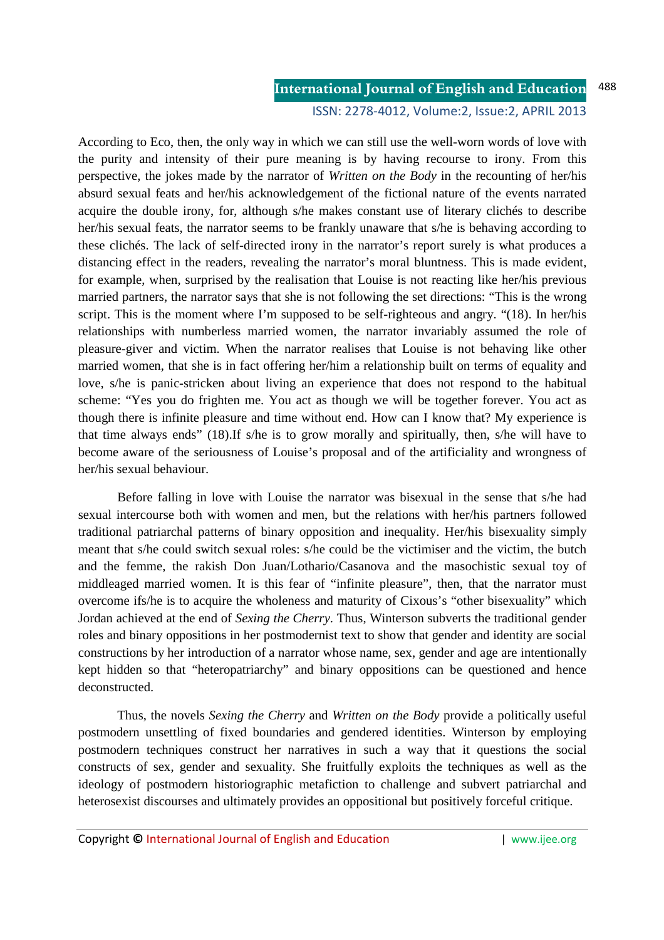#### **International Journal of English and Education** 488

#### ISSN: 2278-4012, Volume:2, Issue:2, APRIL 2013

According to Eco, then, the only way in which we can still use the well-worn words of love with the purity and intensity of their pure meaning is by having recourse to irony. From this perspective, the jokes made by the narrator of *Written on the Body* in the recounting of her/his absurd sexual feats and her/his acknowledgement of the fictional nature of the events narrated acquire the double irony, for, although s/he makes constant use of literary clichés to describe her/his sexual feats, the narrator seems to be frankly unaware that s/he is behaving according to these clichés. The lack of self-directed irony in the narrator's report surely is what produces a distancing effect in the readers, revealing the narrator's moral bluntness. This is made evident, for example, when, surprised by the realisation that Louise is not reacting like her/his previous married partners, the narrator says that she is not following the set directions: "This is the wrong script. This is the moment where I'm supposed to be self-righteous and angry. "(18). In her/his relationships with numberless married women, the narrator invariably assumed the role of pleasure-giver and victim. When the narrator realises that Louise is not behaving like other married women, that she is in fact offering her/him a relationship built on terms of equality and love, s/he is panic-stricken about living an experience that does not respond to the habitual scheme: "Yes you do frighten me. You act as though we will be together forever. You act as though there is infinite pleasure and time without end. How can I know that? My experience is that time always ends" (18).If s/he is to grow morally and spiritually, then, s/he will have to become aware of the seriousness of Louise's proposal and of the artificiality and wrongness of her/his sexual behaviour.

Before falling in love with Louise the narrator was bisexual in the sense that s/he had sexual intercourse both with women and men, but the relations with her/his partners followed traditional patriarchal patterns of binary opposition and inequality. Her/his bisexuality simply meant that s/he could switch sexual roles: s/he could be the victimiser and the victim, the butch and the femme, the rakish Don Juan/Lothario/Casanova and the masochistic sexual toy of middleaged married women. It is this fear of "infinite pleasure", then, that the narrator must overcome ifs/he is to acquire the wholeness and maturity of Cixous's "other bisexuality" which Jordan achieved at the end of *Sexing the Cherry*. Thus, Winterson subverts the traditional gender roles and binary oppositions in her postmodernist text to show that gender and identity are social constructions by her introduction of a narrator whose name, sex, gender and age are intentionally kept hidden so that "heteropatriarchy" and binary oppositions can be questioned and hence deconstructed.

Thus, the novels *Sexing the Cherry* and *Written on the Body* provide a politically useful postmodern unsettling of fixed boundaries and gendered identities. Winterson by employing postmodern techniques construct her narratives in such a way that it questions the social constructs of sex, gender and sexuality. She fruitfully exploits the techniques as well as the ideology of postmodern historiographic metafiction to challenge and subvert patriarchal and heterosexist discourses and ultimately provides an oppositional but positively forceful critique.